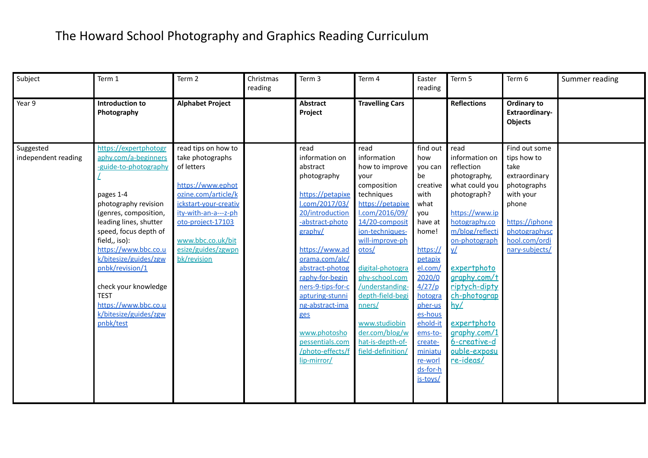| Subject                          | Term 1                                                                                                                                                                                                                                                                                                                                                                            | Term 2                                                                                                                                                                                                                            | Christmas<br>reading | Term 3                                                                                                                                                                                                                                                                                                                                                     | Term 4                                                                                                                                                                                                                                                                                                                                               | Easter<br>reading                                                                                                                                                                                                                                              | Term 5                                                                                                                                                                                                                                                                                                                | Term 6                                                                                                                                                           | Summer reading |
|----------------------------------|-----------------------------------------------------------------------------------------------------------------------------------------------------------------------------------------------------------------------------------------------------------------------------------------------------------------------------------------------------------------------------------|-----------------------------------------------------------------------------------------------------------------------------------------------------------------------------------------------------------------------------------|----------------------|------------------------------------------------------------------------------------------------------------------------------------------------------------------------------------------------------------------------------------------------------------------------------------------------------------------------------------------------------------|------------------------------------------------------------------------------------------------------------------------------------------------------------------------------------------------------------------------------------------------------------------------------------------------------------------------------------------------------|----------------------------------------------------------------------------------------------------------------------------------------------------------------------------------------------------------------------------------------------------------------|-----------------------------------------------------------------------------------------------------------------------------------------------------------------------------------------------------------------------------------------------------------------------------------------------------------------------|------------------------------------------------------------------------------------------------------------------------------------------------------------------|----------------|
| Year 9                           | <b>Introduction to</b><br>Photography                                                                                                                                                                                                                                                                                                                                             | <b>Alphabet Project</b>                                                                                                                                                                                                           |                      | <b>Abstract</b><br>Project                                                                                                                                                                                                                                                                                                                                 | <b>Travelling Cars</b>                                                                                                                                                                                                                                                                                                                               |                                                                                                                                                                                                                                                                | <b>Reflections</b>                                                                                                                                                                                                                                                                                                    | Ordinary to<br>Extraordinary-<br><b>Objects</b>                                                                                                                  |                |
| Suggested<br>independent reading | https://expertphotogr<br>aphy.com/a-beginners<br>-guide-to-photography<br>pages 1-4<br>photography revision<br>(genres, composition,<br>leading lines, shutter<br>speed, focus depth of<br>field,, iso):<br>https://www.bbc.co.u<br>k/bitesize/guides/zgw<br>pnbk/revision/1<br>check your knowledge<br><b>TEST</b><br>https://www.bbc.co.u<br>k/bitesize/guides/zgw<br>pnbk/test | read tips on how to<br>take photographs<br>of letters<br>https://www.ephot<br>ozine.com/article/k<br>ickstart-your-creativ<br>ity-with-an-a---z-ph<br>oto-project-17103<br>www.bbc.co.uk/bit<br>esize/guides/zgwpn<br>bk/revision |                      | read<br>information on<br>abstract<br>photography<br>https://petapixe<br>l.com/2017/03/<br>20/introduction<br>-abstract-photo<br>graphy/<br>https://www.ad<br>orama.com/alc/<br>abstract-photog<br>raphy-for-begin<br>ners-9-tips-for-c<br>apturing-stunni<br>ng-abstract-ima<br>ges<br>www.photosho<br>pessentials.com<br>/photo-effects/f<br>lip-mirror/ | read<br>information<br>how to improve<br>vour<br>composition<br>techniques<br>https://petapixe<br>l.com/2016/09/<br>14/20-composit<br>ion-techniques-<br>will-improve-ph<br>otos/<br>digital-photogra<br>phy-school.com<br>/understanding-<br>depth-field-begi<br>nners/<br>www.studiobin<br>der.com/blog/w<br>hat-is-depth-of-<br>field-definition/ | find out<br>how<br>you can<br>be<br>creative<br>with<br>what<br>vou<br>have at<br>home!<br>https://<br>petapix<br>el.com/<br>2020/0<br>4/27/p<br>hotogra<br>pher-us<br>es-hous<br>ehold-it<br>ems-to-<br>create-<br>miniatu<br>re-worl<br>ds-for-h<br>is-toys/ | read<br>information on<br>reflection<br>photography,<br>what could you<br>photograph?<br>https://www.ip<br>hotography.co<br>m/blog/reflecti<br>on-photograph<br>¥Ζ<br>expertphoto<br>graphy.com/t<br>riptych-dipty<br>ch-photograp<br>hy/<br>expertphoto<br>graphy.com/1<br>6-creative-d<br>ouble-exposu<br>re-ideas/ | Find out some<br>tips how to<br>take<br>extraordinary<br>photographs<br>with your<br>phone<br>https://iphone<br>photographysc<br>hool.com/ordi<br>nary-subjects/ |                |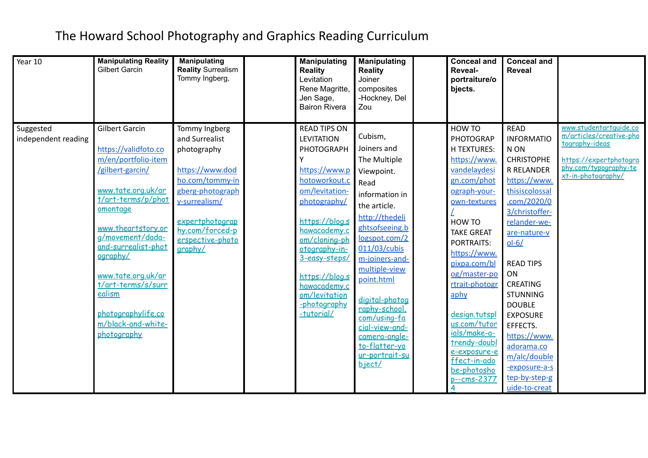| Year 10                          | <b>Manipulating Reality</b><br><b>Gilbert Garcin</b>                                                                                                                                                                                                                                                                                           | <b>Manipulating</b><br><b>Reality Surrealism</b><br>Tommy Ingberg,                                                                                                                             | <b>Manipulating</b><br><b>Reality</b><br>Levitation<br>Rene Magritte,<br>Jen Sage,<br><b>Bairon Rivera</b>                                                                                                                                                                                              | <b>Manipulating</b><br><b>Reality</b><br>Joiner<br>composites<br>-Hockney, Del<br>Zou                                                                                                                                                                                                                                                                   | <b>Conceal and</b><br><b>Reveal-</b><br>portraiture/o<br>bjects.                                                                                                                                                                                                                                                                                                                             | <b>Conceal and</b><br><b>Reveal</b>                                                                                                                                                                                                                                                                                                                                                              |                                                                                                                                              |
|----------------------------------|------------------------------------------------------------------------------------------------------------------------------------------------------------------------------------------------------------------------------------------------------------------------------------------------------------------------------------------------|------------------------------------------------------------------------------------------------------------------------------------------------------------------------------------------------|---------------------------------------------------------------------------------------------------------------------------------------------------------------------------------------------------------------------------------------------------------------------------------------------------------|---------------------------------------------------------------------------------------------------------------------------------------------------------------------------------------------------------------------------------------------------------------------------------------------------------------------------------------------------------|----------------------------------------------------------------------------------------------------------------------------------------------------------------------------------------------------------------------------------------------------------------------------------------------------------------------------------------------------------------------------------------------|--------------------------------------------------------------------------------------------------------------------------------------------------------------------------------------------------------------------------------------------------------------------------------------------------------------------------------------------------------------------------------------------------|----------------------------------------------------------------------------------------------------------------------------------------------|
| Suggested<br>independent reading | <b>Gilbert Garcin</b><br>https://validfoto.co<br>m/en/portfolio-item<br>/gilbert-garcin/<br>www.tate.org.uk/ar<br>t/art-terms/p/phot<br>omontage<br>www.theartstory.or<br>g/movement/dada-<br>and-surrealist-phot<br>ography/<br>www.tate.org.uk/ar<br>t/art-terms/s/surr<br>ealism<br>photographylife.co<br>m/black-and-white-<br>photography | Tommy Ingberg<br>and Surrealist<br>photography<br>https://www.dod<br>ho.com/tommy-in<br>gberg-photograph<br>y-surrealism/<br>expertphotograp<br>hy.com/forced-p<br>erspective-photo<br>graphy/ | <b>READ TIPS ON</b><br><b>LEVITATION</b><br><b>PHOTOGRAPH</b><br>https://www.p<br>hotoworkout.c<br>om/levitation-<br>photography/<br>https://blog.s<br>hawacademy.c<br>om/cloning-ph<br>otography-in-<br>3-easy-steps/<br>https://blog.s<br>hawacademy.c<br>om/levitation<br>-photography<br>-tutorial/ | Cubism,<br>Joiners and<br>The Multiple<br>Viewpoint.<br>Read<br>information in<br>the article.<br>http://thedeli<br>ghtsofseeing.b<br>logspot.com/2<br>011/03/cubis<br>m-joiners-and-<br>multiple-view<br>point.html<br>digital-photog<br>raphy-school.<br>com/using-fa<br>cial-view-and-<br>camera-angle-<br>to-flatter-yo<br>ur-portrait-su<br>biect/ | HOW TO<br><b>PHOTOGRAP</b><br><b>H TEXTURES:</b><br>https://www.<br>vandelaydesi<br>gn.com/phot<br>ograph-your-<br>own-textures<br>HOW TO<br><b>TAKE GREAT</b><br><b>PORTRAITS:</b><br>https://www.<br>pixpa.com/bl<br>og/master-po<br>rtrait-photogr<br>aphy<br>design.tutspl<br>us.com/tutor<br>ials/make-a-<br>trendy-doubl<br>e-exposure-e<br>ffect-in-ado<br>be-photosho<br>p--cms-2377 | <b>READ</b><br><b>INFORMATIO</b><br>N ON<br><b>CHRISTOPHE</b><br><b>R RELANDER</b><br>https://www.<br>thisiscolossal<br>.com/2020/0<br>3/christoffer-<br>relander-we-<br>are-nature-v<br>$ol-6/$<br><b>READ TIPS</b><br>ON<br><b>CREATING</b><br><b>STUNNING</b><br><b>DOUBLE</b><br><b>EXPOSURE</b><br>EFFECTS.<br>https://www.<br>adorama.co<br>m/alc/double<br>-exposure-a-s<br>tep-by-step-g | www.studentartquide.co<br>m/articles/creative-pho<br>tography-ideas<br>https://expertphotogra<br>phy.com/typography-te<br>xt-in-photography/ |
|                                  |                                                                                                                                                                                                                                                                                                                                                |                                                                                                                                                                                                |                                                                                                                                                                                                                                                                                                         |                                                                                                                                                                                                                                                                                                                                                         |                                                                                                                                                                                                                                                                                                                                                                                              | uide-to-creat                                                                                                                                                                                                                                                                                                                                                                                    |                                                                                                                                              |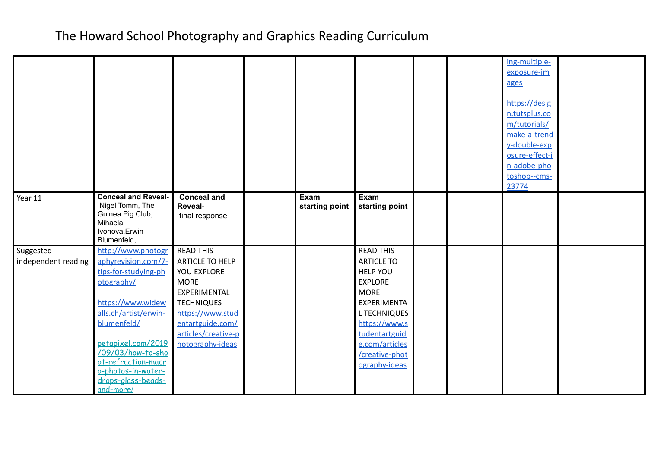|                                  |                                                                                                                                                                                                                                                                        |                                                                                                                                                                                           |                        |                                                                                                                                                                                                                               |  | ing-multiple-<br>exposure-im<br>ages<br>https://desig<br>n.tutsplus.co<br>m/tutorials/<br>make-a-trend<br>y-double-exp<br>osure-effect-i<br>n-adobe-pho<br>toshop--cms-<br>23774 |  |
|----------------------------------|------------------------------------------------------------------------------------------------------------------------------------------------------------------------------------------------------------------------------------------------------------------------|-------------------------------------------------------------------------------------------------------------------------------------------------------------------------------------------|------------------------|-------------------------------------------------------------------------------------------------------------------------------------------------------------------------------------------------------------------------------|--|----------------------------------------------------------------------------------------------------------------------------------------------------------------------------------|--|
| Year 11                          | <b>Conceal and Reveal-</b><br>Nigel Tomm, The<br>Guinea Pig Club,<br>Mihaela<br>Ivonova, Erwin<br>Blumenfeld,                                                                                                                                                          | <b>Conceal and</b><br>Reveal-<br>final response                                                                                                                                           | Exam<br>starting point | Exam<br>starting point                                                                                                                                                                                                        |  |                                                                                                                                                                                  |  |
| Suggested<br>independent reading | http://www.photogr<br>aphyrevision.com/7-<br>tips-for-studying-ph<br>otography/<br>https://www.widew<br>alls.ch/artist/erwin-<br>blumenfeld/<br>petapixel.com/2019<br>/09/03/how-to-sho<br>ot-refraction-macr<br>o-photos-in-water-<br>drops-glass-beads-<br>and-more/ | <b>READ THIS</b><br>ARTICLE TO HELP<br>YOU EXPLORE<br><b>MORE</b><br>EXPERIMENTAL<br><b>TECHNIQUES</b><br>https://www.stud<br>entartguide.com/<br>articles/creative-p<br>hotography-ideas |                        | <b>READ THIS</b><br><b>ARTICLE TO</b><br><b>HELP YOU</b><br><b>EXPLORE</b><br><b>MORE</b><br><b>EXPERIMENTA</b><br><b>L TECHNIQUES</b><br>https://www.s<br>tudentartguid<br>e.com/articles<br>/creative-phot<br>ography-ideas |  |                                                                                                                                                                                  |  |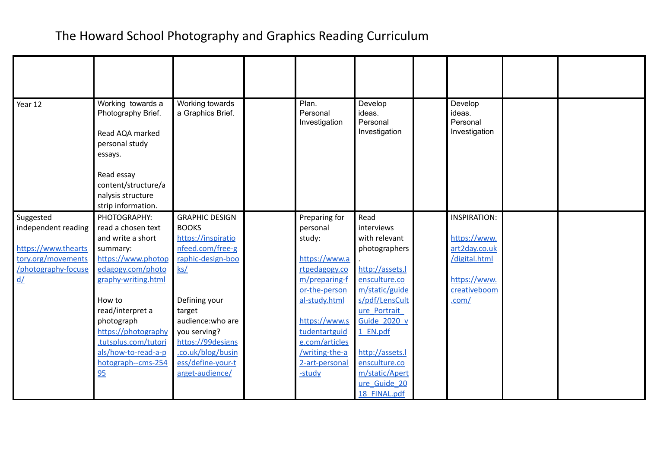| Year 12             | Working towards a<br>Photography Brief.<br>Read AQA marked<br>personal study<br>essays.<br>Read essay<br>content/structure/a<br>nalysis structure<br>strip information. | Working towards<br>a Graphics Brief. | Plan.<br>Personal<br>Investigation | Develop<br>ideas.<br>Personal<br>Investigation | Develop<br>ideas.<br>Personal<br>Investigation |  |
|---------------------|-------------------------------------------------------------------------------------------------------------------------------------------------------------------------|--------------------------------------|------------------------------------|------------------------------------------------|------------------------------------------------|--|
| Suggested           | PHOTOGRAPHY:                                                                                                                                                            | <b>GRAPHIC DESIGN</b>                | Preparing for                      | Read                                           | <b>INSPIRATION:</b>                            |  |
| independent reading | read a chosen text                                                                                                                                                      | <b>BOOKS</b>                         | personal                           | interviews                                     |                                                |  |
|                     | and write a short                                                                                                                                                       | https://inspiratio                   | study:                             | with relevant                                  | https://www.                                   |  |
| https://www.thearts | summary:                                                                                                                                                                | nfeed.com/free-g                     |                                    | photographers                                  | art2day.co.uk                                  |  |
| tory.org/movements  | https://www.photop                                                                                                                                                      | raphic-design-boo                    | https://www.a                      |                                                | /digital.html                                  |  |
| /photography-focuse | edagogy.com/photo                                                                                                                                                       | $\mathsf{ks}/\mathsf{S}$             | rtpedagogy.co                      | http://assets.l                                |                                                |  |
| $\underline{d}$     | graphy-writing.html                                                                                                                                                     |                                      | m/preparing-f                      | ensculture.co                                  | https://www.                                   |  |
|                     |                                                                                                                                                                         |                                      | or-the-person                      | m/static/guide                                 | creativeboom                                   |  |
|                     | How to                                                                                                                                                                  | Defining your                        | al-study.html                      | s/pdf/LensCult                                 | .com/                                          |  |
|                     | read/interpret a                                                                                                                                                        | target                               |                                    | ure Portrait                                   |                                                |  |
|                     | photograph                                                                                                                                                              | audience: who are                    | https://www.s                      | <b>Guide 2020 v</b>                            |                                                |  |
|                     | https://photography                                                                                                                                                     | you serving?                         | tudentartguid                      | 1 EN.pdf                                       |                                                |  |
|                     | tutsplus.com/tutori                                                                                                                                                     | https://99designs                    | e.com/articles                     |                                                |                                                |  |
|                     | als/how-to-read-a-p                                                                                                                                                     | .co.uk/blog/busin                    | /writing-the-a                     | http://assets.l                                |                                                |  |
|                     | hotograph--cms-254                                                                                                                                                      | ess/define-your-t                    | 2-art-personal                     | ensculture.co                                  |                                                |  |
|                     | 95                                                                                                                                                                      | arget-audience/                      | -study                             | m/static/Apert                                 |                                                |  |
|                     |                                                                                                                                                                         |                                      |                                    | ure Guide 20                                   |                                                |  |
|                     |                                                                                                                                                                         |                                      |                                    | 18 FINAL.pdf                                   |                                                |  |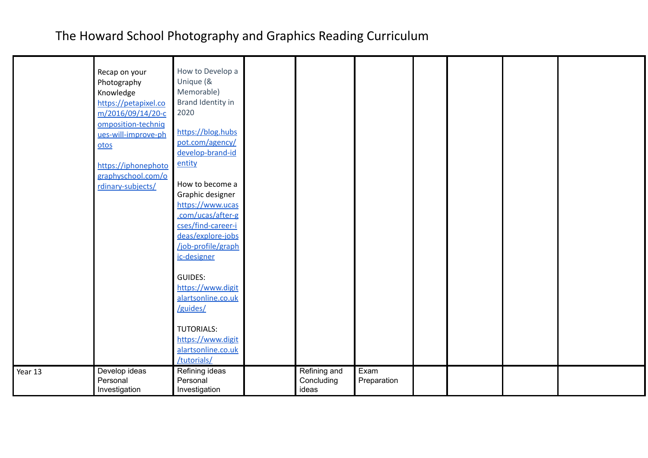|         | Recap on your<br>Photography<br>Knowledge<br>https://petapixel.co<br>m/2016/09/14/20-c<br>omposition-techniq<br>ues-will-improve-ph<br>otos<br>https://iphonephoto<br>graphyschool.com/o<br>rdinary-subjects/ | How to Develop a<br>Unique (&<br>Memorable)<br>Brand Identity in<br>2020<br>https://blog.hubs<br>pot.com/agency/<br>develop-brand-id<br>entity<br>How to become a<br>Graphic designer<br>https://www.ucas<br>.com/ucas/after-g<br>cses/find-career-i<br>deas/explore-jobs<br>/job-profile/graph<br>ic-designer<br><b>GUIDES:</b><br>https://www.digit<br>alartsonline.co.uk<br>/guides/<br><b>TUTORIALS:</b> |                                     |                     |  |  |
|---------|---------------------------------------------------------------------------------------------------------------------------------------------------------------------------------------------------------------|--------------------------------------------------------------------------------------------------------------------------------------------------------------------------------------------------------------------------------------------------------------------------------------------------------------------------------------------------------------------------------------------------------------|-------------------------------------|---------------------|--|--|
|         |                                                                                                                                                                                                               | https://www.digit<br>alartsonline.co.uk<br>/tutorials/                                                                                                                                                                                                                                                                                                                                                       |                                     |                     |  |  |
| Year 13 | Develop ideas<br>Personal<br>Investigation                                                                                                                                                                    | Refining ideas<br>Personal<br>Investigation                                                                                                                                                                                                                                                                                                                                                                  | Refining and<br>Concluding<br>ideas | Exam<br>Preparation |  |  |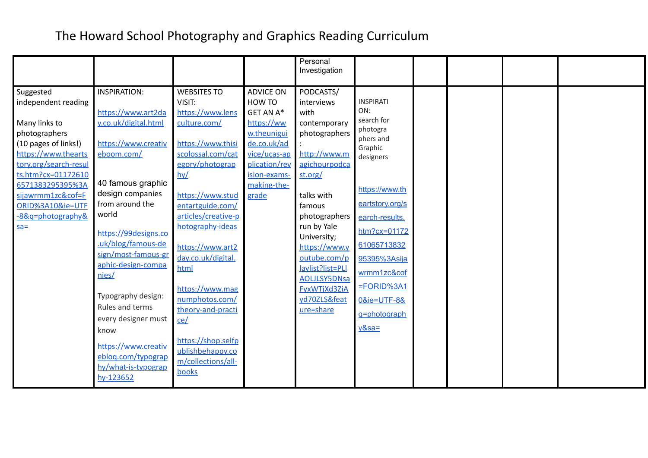|                       |                      |                                     |                  | Personal                  |                       |  |  |
|-----------------------|----------------------|-------------------------------------|------------------|---------------------------|-----------------------|--|--|
|                       |                      |                                     |                  | Investigation             |                       |  |  |
|                       |                      |                                     |                  |                           |                       |  |  |
| Suggested             | <b>INSPIRATION:</b>  | <b>WEBSITES TO</b>                  | <b>ADVICE ON</b> | PODCASTS/                 |                       |  |  |
| independent reading   |                      | VISIT:                              | HOW TO           | interviews                | <b>INSPIRATI</b>      |  |  |
|                       | https://www.art2da   | https://www.lens                    | GET AN A*        | with                      | ON:                   |  |  |
| Many links to         | y.co.uk/digital.html | culture.com/                        | https://ww       | contemporary              | search for            |  |  |
| photographers         |                      |                                     | w.theunigui      | photographers             | photogra<br>phers and |  |  |
| (10 pages of links!)  | https://www.creativ  | https://www.thisi                   | de.co.uk/ad      |                           | Graphic               |  |  |
| https://www.thearts   | eboom.com/           | scolossal.com/cat                   | vice/ucas-ap     | http://www.m              | designers             |  |  |
| tory.org/search-resul |                      | egory/photograp                     | plication/rev    | agichourpodca             |                       |  |  |
| ts.htm?cx=01172610    |                      | $h\nu$                              | ision-exams-     | st.org/                   |                       |  |  |
| 6571383295395%3A      | 40 famous graphic    |                                     | making-the-      |                           | https://www.th        |  |  |
| sijawrmm1zc&cof=F     | design companies     | https://www.stud                    | grade            | talks with                |                       |  |  |
| ORID%3A10&ie=UTF      | from around the      | entartguide.com/                    |                  | famous                    | eartstory.org/s       |  |  |
| -8&q=photography&     | world                | articles/creative-p                 |                  | photographers             | earch-results.        |  |  |
| $s$ $a=$              | https://99designs.co | hotography-ideas                    |                  | run by Yale               | $http://www.101172$   |  |  |
|                       | .uk/blog/famous-de   |                                     |                  | University;               | 61065713832           |  |  |
|                       | sign/most-famous-gr  | https://www.art2                    |                  | https://www.y             |                       |  |  |
|                       | aphic-design-compa   | day.co.uk/digital.                  |                  | outube.com/p              | 95395%3Asija          |  |  |
|                       | nies/                | html                                |                  | lavlist?list=PLI          | wrmm1zc&cof           |  |  |
|                       |                      |                                     |                  | <b>AOLJLSY5DNsa</b>       | $=$ FORID%3A1         |  |  |
|                       | Typography design:   | https://www.mag                     |                  | <b>FyxWTjXd3ZiA</b>       |                       |  |  |
|                       | Rules and terms      | numphotos.com/<br>theory-and-practi |                  | yd70ZLS&feat<br>ure=share | 0&ie=UTF-8&           |  |  |
|                       | every designer must  |                                     |                  |                           | g=photograph          |  |  |
|                       | know                 | ce/                                 |                  |                           | $y&sa=$               |  |  |
|                       |                      | https://shop.selfp                  |                  |                           |                       |  |  |
|                       | https://www.creativ  | ublishbehappy.co                    |                  |                           |                       |  |  |
|                       | eblog.com/typograp   | m/collections/all-                  |                  |                           |                       |  |  |
|                       | hy/what-is-typograp  | books                               |                  |                           |                       |  |  |
|                       | hy-123652            |                                     |                  |                           |                       |  |  |
|                       |                      |                                     |                  |                           |                       |  |  |